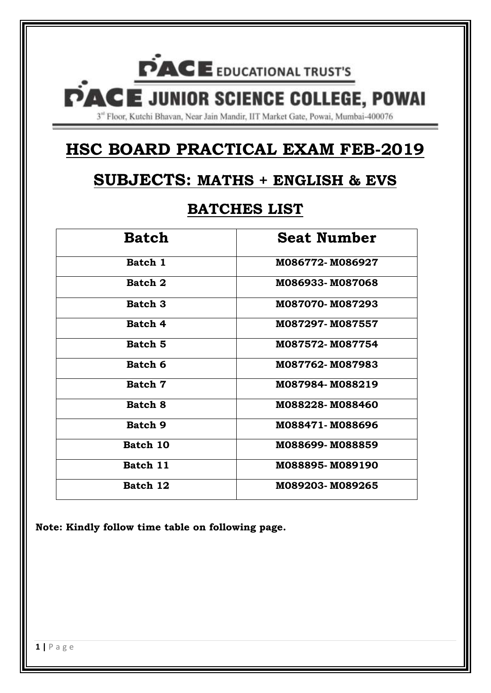# **PACE** EDUCATIONAL TRUST'S **PACE JUNIOR SCIENCE COLLEGE, POWAI** 3<sup>nt</sup> Floor, Kutchi Bhavan, Near Jain Mandir, IIT Market Gate, Powai, Mumbai-400076

## **HSC BOARD PRACTICAL EXAM FEB-2019**

## **SUBJECTS: MATHS + ENGLISH & EVS**

## **BATCHES LIST**

| <b>Batch</b>   | <b>Seat Number</b> |
|----------------|--------------------|
| Batch 1        | M086772-M086927    |
| Batch 2        | M086933-M087068    |
| <b>Batch 3</b> | M087070-M087293    |
| Batch 4        | M087297-M087557    |
| Batch 5        | M087572-M087754    |
| Batch 6        | M087762-M087983    |
| Batch 7        | M087984-M088219    |
| Batch 8        | M088228-M088460    |
| <b>Batch 9</b> | M088471-M088696    |
| Batch 10       | M088699-M088859    |
| Batch 11       | M088895-M089190    |
| Batch 12       | M089203-M089265    |

**Note: Kindly follow time table on following page.**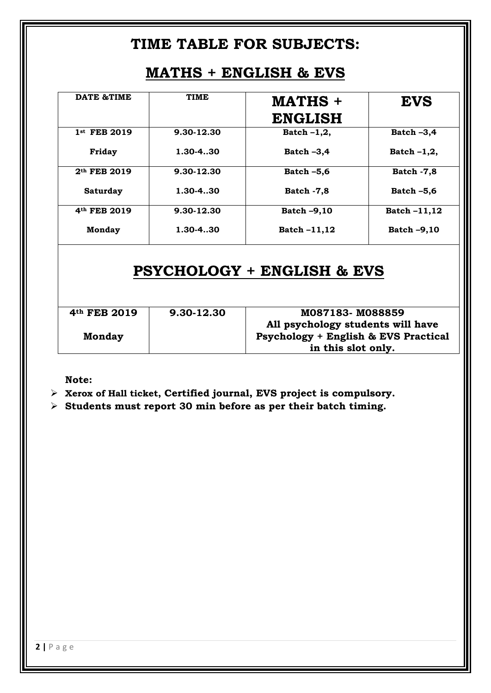### **TIME TABLE FOR SUBJECTS:**

## **MATHS + ENGLISH & EVS**

| <b>DATE &amp;TIME</b>    | <b>TIME</b> | MATHS +<br><b>ENGLISH</b> | <b>EVS</b>         |
|--------------------------|-------------|---------------------------|--------------------|
| 1st FEB 2019             | 9.30-12.30  | Batch $-1,2$ ,            | Batch $-3,4$       |
| Friday                   | 1.30-4.30   | Batch $-3,4$              | Batch $-1,2$ ,     |
| 2 <sup>th</sup> FEB 2019 | 9.30-12.30  | Batch $-5,6$              | <b>Batch -7,8</b>  |
| <b>Saturday</b>          | 1.30-4.30   | <b>Batch -7,8</b>         | Batch $-5,6$       |
| 4th FEB 2019             | 9.30-12.30  | Batch -9,10               | Batch-11,12        |
| <b>Monday</b>            | 1.30-4.30   | <b>Batch-11,12</b>        | <b>Batch -9,10</b> |

## **PSYCHOLOGY + ENGLISH & EVS**

| 4 <sup>th</sup> FEB 2019 | 9.30-12.30 | M087183-M088859                                 |
|--------------------------|------------|-------------------------------------------------|
|                          |            | All psychology students will have               |
| <b>Monday</b>            |            | <b>Psychology + English &amp; EVS Practical</b> |
|                          |            | in this slot only.                              |

**Note:** 

**Xerox of Hall ticket, Certified journal, EVS project is compulsory.** 

**Students must report 30 min before as per their batch timing.**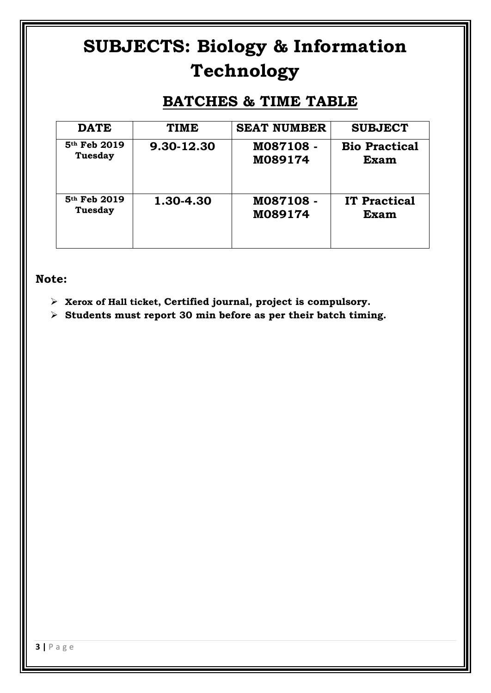# **SUBJECTS: Biology & Information Technology**

## **BATCHES & TIME TABLE**

| <b>DATE</b>    | <b>TIME</b> | <b>SEAT NUMBER</b> | <b>SUBJECT</b>       |
|----------------|-------------|--------------------|----------------------|
| 5th Feb 2019   | 9.30-12.30  | M087108 -          | <b>Bio Practical</b> |
| <b>Tuesday</b> |             | M089174            | <b>Exam</b>          |
| 5th Feb 2019   | 1.30-4.30   | M087108 -          | <b>IT Practical</b>  |
| Tuesday        |             | M089174            | <b>Exam</b>          |

#### **Note:**

- **Xerox of Hall ticket, Certified journal, project is compulsory.**
- **Students must report 30 min before as per their batch timing.**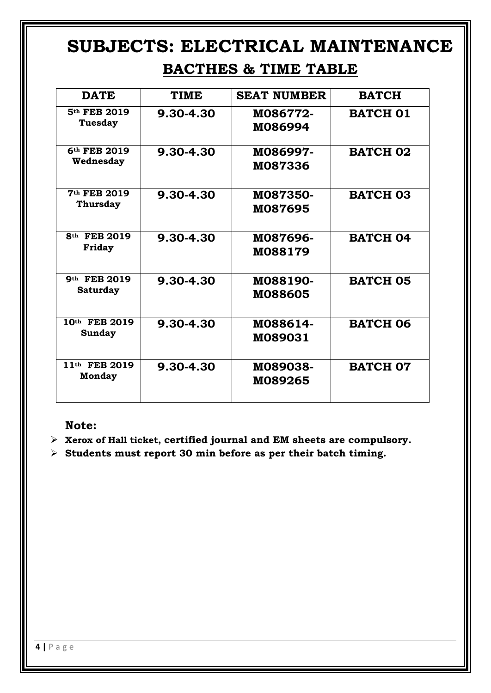# **SUBJECTS: ELECTRICAL MAINTENANCE**

## **BACTHES & TIME TABLE**

| <b>DATE</b>                         | <b>TIME</b> | <b>SEAT NUMBER</b>         | <b>BATCH</b>    |
|-------------------------------------|-------------|----------------------------|-----------------|
| 5 <sup>th</sup> FEB 2019<br>Tuesday | 9.30-4.30   | M086772-<br>M086994        | <b>BATCH 01</b> |
| 6th FEB 2019<br>Wednesday           | 9.30-4.30   | M086997-<br>M087336        | <b>BATCH 02</b> |
| 7th FEB 2019<br><b>Thursday</b>     | 9.30-4.30   | M087350-<br>M087695        | <b>BATCH 03</b> |
| 8 <sup>th</sup> FEB 2019<br>Friday  | 9.30-4.30   | M087696-<br>M088179        | <b>BATCH 04</b> |
| 9th FEB 2019<br><b>Saturday</b>     | 9.30-4.30   | M088190-<br><b>M088605</b> | <b>BATCH 05</b> |
| 10th FEB 2019<br>Sunday             | 9.30-4.30   | M088614-<br>M089031        | <b>BATCH 06</b> |
| 11th FEB 2019<br>Monday             | 9.30-4.30   | M089038-<br>M089265        | <b>BATCH 07</b> |

#### **Note:**

- **Xerox of Hall ticket, certified journal and EM sheets are compulsory.**
- **Students must report 30 min before as per their batch timing.**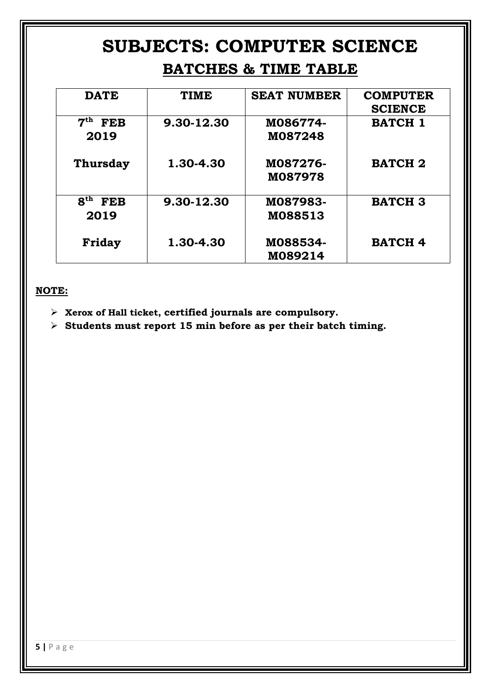## **SUBJECTS: COMPUTER SCIENCE BATCHES & TIME TABLE**

| <b>DATE</b>                   | <b>TIME</b> | <b>SEAT NUMBER</b> | <b>COMPUTER</b> |
|-------------------------------|-------------|--------------------|-----------------|
|                               |             |                    | <b>SCIENCE</b>  |
| 7 <sup>th</sup><br><b>FEB</b> | 9.30-12.30  | M086774-           | <b>BATCH 1</b>  |
| 2019                          |             | M087248            |                 |
|                               |             |                    |                 |
| Thursday                      | 1.30-4.30   | M087276-           | <b>BATCH 2</b>  |
|                               |             | M087978            |                 |
| 8 <sup>th</sup><br><b>FEB</b> | 9.30-12.30  | M087983-           | <b>BATCH 3</b>  |
| 2019                          |             | M088513            |                 |
|                               |             |                    |                 |
| Friday                        | 1.30-4.30   | M088534-           | <b>BATCH 4</b>  |
|                               |             | M089214            |                 |

#### **NOTE:**

- **Xerox of Hall ticket, certified journals are compulsory.**
- **Students must report 15 min before as per their batch timing.**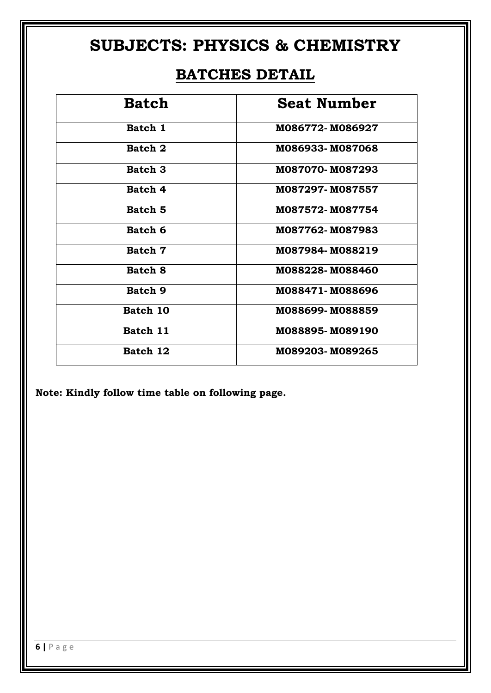## **SUBJECTS: PHYSICS & CHEMISTRY**

## **BATCHES DETAIL**

| <b>Batch</b>   | <b>Seat Number</b> |
|----------------|--------------------|
| Batch 1        | M086772-M086927    |
| Batch 2        | M086933-M087068    |
| Batch 3        | M087070-M087293    |
| Batch 4        | M087297-M087557    |
| Batch 5        | M087572-M087754    |
| Batch 6        | M087762-M087983    |
| Batch 7        | M087984-M088219    |
| Batch 8        | M088228-M088460    |
| <b>Batch 9</b> | M088471-M088696    |
| Batch 10       | M088699-M088859    |
| Batch 11       | M088895-M089190    |
| Batch 12       | M089203-M089265    |

**Note: Kindly follow time table on following page.**